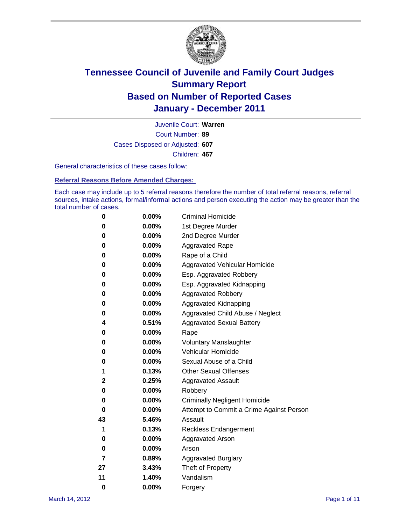

Court Number: **89** Juvenile Court: **Warren** Cases Disposed or Adjusted: **607** Children: **467**

General characteristics of these cases follow:

**Referral Reasons Before Amended Charges:** 

Each case may include up to 5 referral reasons therefore the number of total referral reasons, referral sources, intake actions, formal/informal actions and person executing the action may be greater than the total number of cases.

| 0  | 0.00%    | <b>Criminal Homicide</b>                 |  |  |  |
|----|----------|------------------------------------------|--|--|--|
| 0  | 0.00%    | 1st Degree Murder                        |  |  |  |
| 0  | 0.00%    | 2nd Degree Murder                        |  |  |  |
| 0  | 0.00%    | <b>Aggravated Rape</b>                   |  |  |  |
| 0  | 0.00%    | Rape of a Child                          |  |  |  |
| 0  | 0.00%    | Aggravated Vehicular Homicide            |  |  |  |
| 0  | 0.00%    | Esp. Aggravated Robbery                  |  |  |  |
| 0  | 0.00%    | Esp. Aggravated Kidnapping               |  |  |  |
| 0  | 0.00%    | <b>Aggravated Robbery</b>                |  |  |  |
| 0  | 0.00%    | Aggravated Kidnapping                    |  |  |  |
| 0  | 0.00%    | Aggravated Child Abuse / Neglect         |  |  |  |
| 4  | 0.51%    | <b>Aggravated Sexual Battery</b>         |  |  |  |
| 0  | 0.00%    | Rape                                     |  |  |  |
| 0  | $0.00\%$ | <b>Voluntary Manslaughter</b>            |  |  |  |
| 0  | 0.00%    | Vehicular Homicide                       |  |  |  |
| 0  | 0.00%    | Sexual Abuse of a Child                  |  |  |  |
| 1  | 0.13%    | <b>Other Sexual Offenses</b>             |  |  |  |
| 2  | 0.25%    | <b>Aggravated Assault</b>                |  |  |  |
| 0  | $0.00\%$ | Robbery                                  |  |  |  |
| 0  | 0.00%    | <b>Criminally Negligent Homicide</b>     |  |  |  |
| 0  | 0.00%    | Attempt to Commit a Crime Against Person |  |  |  |
| 43 | 5.46%    | Assault                                  |  |  |  |
| 1  | 0.13%    | <b>Reckless Endangerment</b>             |  |  |  |
| 0  | 0.00%    | <b>Aggravated Arson</b>                  |  |  |  |
| 0  | 0.00%    | Arson                                    |  |  |  |
| 7  | 0.89%    | <b>Aggravated Burglary</b>               |  |  |  |
| 27 | 3.43%    | Theft of Property                        |  |  |  |
| 11 | 1.40%    | Vandalism                                |  |  |  |
| 0  | 0.00%    | Forgery                                  |  |  |  |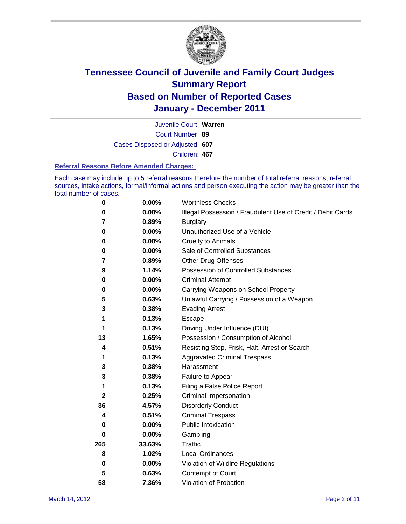

Court Number: **89** Juvenile Court: **Warren** Cases Disposed or Adjusted: **607** Children: **467**

#### **Referral Reasons Before Amended Charges:**

Each case may include up to 5 referral reasons therefore the number of total referral reasons, referral sources, intake actions, formal/informal actions and person executing the action may be greater than the total number of cases.

| $\pmb{0}$    | 0.00%    | <b>Worthless Checks</b>                                     |  |  |  |
|--------------|----------|-------------------------------------------------------------|--|--|--|
| 0            | 0.00%    | Illegal Possession / Fraudulent Use of Credit / Debit Cards |  |  |  |
| 7            | 0.89%    | <b>Burglary</b>                                             |  |  |  |
| 0            | $0.00\%$ | Unauthorized Use of a Vehicle                               |  |  |  |
| 0            | $0.00\%$ | <b>Cruelty to Animals</b>                                   |  |  |  |
| 0            | $0.00\%$ | Sale of Controlled Substances                               |  |  |  |
| 7            | 0.89%    | <b>Other Drug Offenses</b>                                  |  |  |  |
| 9            | 1.14%    | Possession of Controlled Substances                         |  |  |  |
| 0            | $0.00\%$ | <b>Criminal Attempt</b>                                     |  |  |  |
| 0            | 0.00%    | Carrying Weapons on School Property                         |  |  |  |
| 5            | 0.63%    | Unlawful Carrying / Possession of a Weapon                  |  |  |  |
| 3            | 0.38%    | <b>Evading Arrest</b>                                       |  |  |  |
| 1            | 0.13%    | Escape                                                      |  |  |  |
| 1            | 0.13%    | Driving Under Influence (DUI)                               |  |  |  |
| 13           | 1.65%    | Possession / Consumption of Alcohol                         |  |  |  |
| 4            | 0.51%    | Resisting Stop, Frisk, Halt, Arrest or Search               |  |  |  |
| 1            | 0.13%    | <b>Aggravated Criminal Trespass</b>                         |  |  |  |
| 3            | 0.38%    | Harassment                                                  |  |  |  |
| 3            | 0.38%    | Failure to Appear                                           |  |  |  |
| 1            | 0.13%    | Filing a False Police Report                                |  |  |  |
| $\mathbf{2}$ | 0.25%    | Criminal Impersonation                                      |  |  |  |
| 36           | 4.57%    | <b>Disorderly Conduct</b>                                   |  |  |  |
| 4            | 0.51%    | <b>Criminal Trespass</b>                                    |  |  |  |
| 0            | $0.00\%$ | Public Intoxication                                         |  |  |  |
| 0            | $0.00\%$ | Gambling                                                    |  |  |  |
| 265          | 33.63%   | <b>Traffic</b>                                              |  |  |  |
| 8            | 1.02%    | Local Ordinances                                            |  |  |  |
| 0            | 0.00%    | Violation of Wildlife Regulations                           |  |  |  |
| 5            | 0.63%    | Contempt of Court                                           |  |  |  |
| 58           | 7.36%    | Violation of Probation                                      |  |  |  |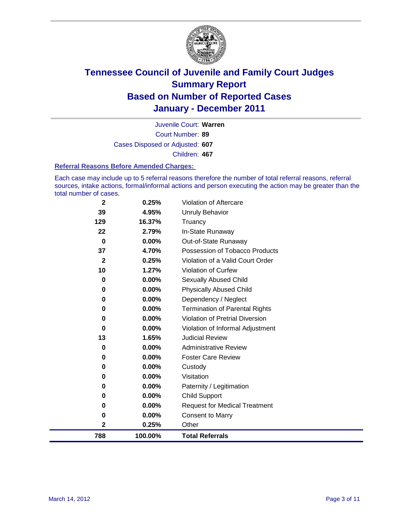

Court Number: **89** Juvenile Court: **Warren** Cases Disposed or Adjusted: **607** Children: **467**

#### **Referral Reasons Before Amended Charges:**

Each case may include up to 5 referral reasons therefore the number of total referral reasons, referral sources, intake actions, formal/informal actions and person executing the action may be greater than the total number of cases.

| 788          | 100.00%         | <b>Total Referrals</b>                   |
|--------------|-----------------|------------------------------------------|
| 2            | 0.25%           | Other                                    |
| 0            | 0.00%           | <b>Consent to Marry</b>                  |
| 0            | $0.00\%$        | <b>Request for Medical Treatment</b>     |
| 0            | 0.00%           | <b>Child Support</b>                     |
| 0            | 0.00%           | Paternity / Legitimation                 |
| 0            | 0.00%           | Visitation                               |
| 0            | $0.00\%$        | Custody                                  |
| 0            | $0.00\%$        | <b>Foster Care Review</b>                |
| 0            | $0.00\%$        | <b>Administrative Review</b>             |
| 13           | 1.65%           | <b>Judicial Review</b>                   |
| 0            | $0.00\%$        | Violation of Informal Adjustment         |
| 0            | $0.00\%$        | <b>Violation of Pretrial Diversion</b>   |
| 0            | $0.00\%$        | <b>Termination of Parental Rights</b>    |
| 0            | $0.00\%$        | Dependency / Neglect                     |
| 0            | $0.00\%$        | <b>Physically Abused Child</b>           |
| 0            | 0.00%           | <b>Sexually Abused Child</b>             |
| 10           | 1.27%           | Violation of Curfew                      |
| $\mathbf{2}$ | 0.25%           | Violation of a Valid Court Order         |
| 37           | 4.70%           | Possession of Tobacco Products           |
| $\bf{0}$     | $0.00\%$        | In-State Runaway<br>Out-of-State Runaway |
| 129<br>22    | 16.37%<br>2.79% | Truancy                                  |
| 39           | 4.95%           | Unruly Behavior                          |
|              |                 |                                          |
| $\mathbf{2}$ | 0.25%           | Violation of Aftercare                   |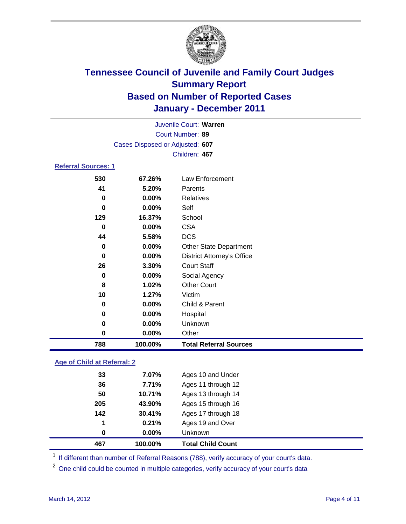

| Court Number: 89<br>Cases Disposed or Adjusted: 607<br>Children: 467<br><b>Referral Sources: 1</b> |  |
|----------------------------------------------------------------------------------------------------|--|
|                                                                                                    |  |
|                                                                                                    |  |
|                                                                                                    |  |
|                                                                                                    |  |
| 530<br>Law Enforcement<br>67.26%                                                                   |  |
| 41<br>5.20%<br>Parents                                                                             |  |
| 0.00%<br>Relatives<br>0                                                                            |  |
| 0.00%<br>Self<br>$\bf{0}$                                                                          |  |
| School<br>129<br>16.37%                                                                            |  |
| <b>CSA</b><br>$\bf{0}$<br>0.00%                                                                    |  |
| <b>DCS</b><br>5.58%<br>44                                                                          |  |
| 0.00%<br>0<br><b>Other State Department</b>                                                        |  |
| 0.00%<br><b>District Attorney's Office</b><br>0                                                    |  |
| <b>Court Staff</b><br>26<br>3.30%                                                                  |  |
| 0.00%<br>Social Agency<br>0                                                                        |  |
| <b>Other Court</b><br>1.02%<br>8                                                                   |  |
| 10<br>1.27%<br>Victim                                                                              |  |
| 0.00%<br>Child & Parent<br>0                                                                       |  |
| 0.00%<br>Hospital<br>0                                                                             |  |
| Unknown<br>0.00%<br>0                                                                              |  |
| 0<br>$0.00\%$<br>Other                                                                             |  |
| 788<br>100.00%<br><b>Total Referral Sources</b>                                                    |  |

### **Age of Child at Referral: 2**

| 0   | $0.00\%$ | <b>Unknown</b>     |  |
|-----|----------|--------------------|--|
|     |          |                    |  |
|     | 0.21%    | Ages 19 and Over   |  |
| 142 | 30.41%   | Ages 17 through 18 |  |
| 205 | 43.90%   | Ages 15 through 16 |  |
| 50  | 10.71%   | Ages 13 through 14 |  |
| 36  | 7.71%    | Ages 11 through 12 |  |
| 33  | 7.07%    | Ages 10 and Under  |  |
|     | 1        |                    |  |

<sup>1</sup> If different than number of Referral Reasons (788), verify accuracy of your court's data.

<sup>2</sup> One child could be counted in multiple categories, verify accuracy of your court's data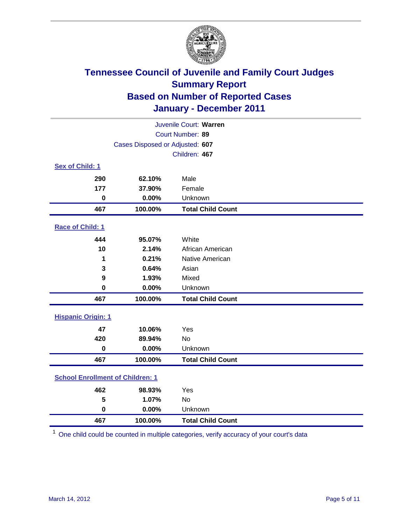

| Juvenile Court: Warren                  |                                 |                          |  |  |
|-----------------------------------------|---------------------------------|--------------------------|--|--|
|                                         |                                 | Court Number: 89         |  |  |
|                                         | Cases Disposed or Adjusted: 607 |                          |  |  |
|                                         |                                 | Children: 467            |  |  |
| Sex of Child: 1                         |                                 |                          |  |  |
| 290                                     | 62.10%                          | Male                     |  |  |
| 177                                     | 37.90%                          | Female                   |  |  |
| $\mathbf 0$                             | 0.00%                           | Unknown                  |  |  |
| 467                                     | 100.00%                         | <b>Total Child Count</b> |  |  |
| Race of Child: 1                        |                                 |                          |  |  |
| 444                                     | 95.07%                          | White                    |  |  |
| 10                                      | 2.14%                           | African American         |  |  |
| 1                                       | 0.21%                           | Native American          |  |  |
| 3                                       | 0.64%                           | Asian                    |  |  |
| 9                                       | 1.93%                           | Mixed                    |  |  |
| $\mathbf 0$                             | 0.00%                           | Unknown                  |  |  |
| 467                                     | 100.00%                         | <b>Total Child Count</b> |  |  |
| <b>Hispanic Origin: 1</b>               |                                 |                          |  |  |
| 47                                      | 10.06%                          | Yes                      |  |  |
| 420                                     | 89.94%                          | No                       |  |  |
| $\mathbf 0$                             | 0.00%                           | Unknown                  |  |  |
| 467                                     | 100.00%                         | <b>Total Child Count</b> |  |  |
| <b>School Enrollment of Children: 1</b> |                                 |                          |  |  |
| 462                                     | 98.93%                          | Yes                      |  |  |
| 5                                       | 1.07%                           | <b>No</b>                |  |  |
| $\bf{0}$                                | 0.00%                           | Unknown                  |  |  |
| 467                                     | 100.00%                         | <b>Total Child Count</b> |  |  |

One child could be counted in multiple categories, verify accuracy of your court's data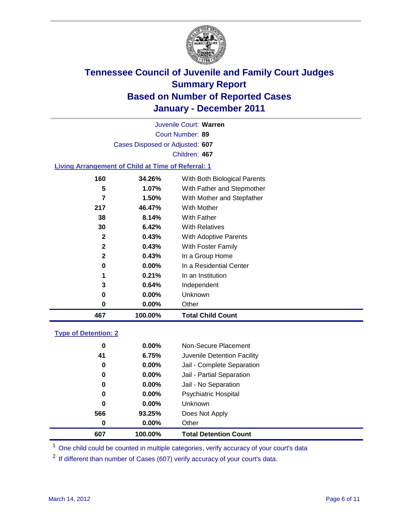

Court Number: **89** Juvenile Court: **Warren** Cases Disposed or Adjusted: **607** Children: **467**

#### **Living Arrangement of Child at Time of Referral: 1**

| 0<br>1<br>3<br>0<br>0 | $0.00\%$<br>0.21%<br>0.64%<br>0.00%<br>0.00% | In a Residential Center<br>In an Institution<br>Independent<br>Unknown<br>Other |  |
|-----------------------|----------------------------------------------|---------------------------------------------------------------------------------|--|
|                       |                                              |                                                                                 |  |
|                       |                                              |                                                                                 |  |
|                       |                                              |                                                                                 |  |
|                       |                                              |                                                                                 |  |
|                       |                                              |                                                                                 |  |
| $\mathbf{2}$          | 0.43%                                        | In a Group Home                                                                 |  |
| $\mathbf{2}$          | 0.43%                                        | With Foster Family                                                              |  |
| $\mathbf{2}$          | 0.43%                                        | With Adoptive Parents                                                           |  |
| 30                    | 6.42%                                        | <b>With Relatives</b>                                                           |  |
| 38                    | 8.14%                                        | With Father                                                                     |  |
| 217                   | 46.47%                                       | With Mother                                                                     |  |
| 7                     | 1.50%                                        | With Mother and Stepfather                                                      |  |
| 5                     | 1.07%                                        | With Father and Stepmother                                                      |  |
|                       | 34.26%                                       | With Both Biological Parents                                                    |  |
|                       | 160                                          |                                                                                 |  |

#### **Type of Detention: 2**

| 607 | 100.00%  | <b>Total Detention Count</b> |  |
|-----|----------|------------------------------|--|
| 0   | 0.00%    | Other                        |  |
| 566 | 93.25%   | Does Not Apply               |  |
| 0   | $0.00\%$ | Unknown                      |  |
| 0   | $0.00\%$ | Psychiatric Hospital         |  |
| 0   | 0.00%    | Jail - No Separation         |  |
| 0   | $0.00\%$ | Jail - Partial Separation    |  |
| 0   | $0.00\%$ | Jail - Complete Separation   |  |
| 41  | 6.75%    | Juvenile Detention Facility  |  |
| 0   | $0.00\%$ | Non-Secure Placement         |  |
|     |          |                              |  |

<sup>1</sup> One child could be counted in multiple categories, verify accuracy of your court's data

<sup>2</sup> If different than number of Cases (607) verify accuracy of your court's data.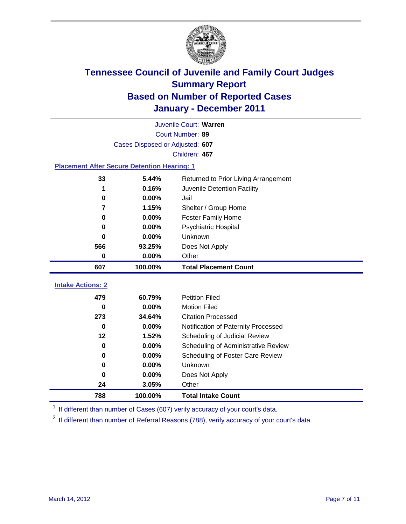

|                                                    | Juvenile Court: Warren          |                                      |  |  |  |
|----------------------------------------------------|---------------------------------|--------------------------------------|--|--|--|
|                                                    | Court Number: 89                |                                      |  |  |  |
|                                                    | Cases Disposed or Adjusted: 607 |                                      |  |  |  |
| Children: 467                                      |                                 |                                      |  |  |  |
| <b>Placement After Secure Detention Hearing: 1</b> |                                 |                                      |  |  |  |
| 33                                                 | 5.44%                           | Returned to Prior Living Arrangement |  |  |  |
| 1                                                  | 0.16%                           | Juvenile Detention Facility          |  |  |  |
| 0                                                  | 0.00%                           | Jail                                 |  |  |  |
| 7                                                  | 1.15%                           | Shelter / Group Home                 |  |  |  |
| $\bf{0}$                                           | 0.00%                           | <b>Foster Family Home</b>            |  |  |  |
| 0                                                  | 0.00%                           | <b>Psychiatric Hospital</b>          |  |  |  |
| 0                                                  | 0.00%                           | Unknown                              |  |  |  |
| 566                                                | 93.25%                          | Does Not Apply                       |  |  |  |
| 0                                                  | 0.00%                           | Other                                |  |  |  |
| 607                                                | 100.00%                         | <b>Total Placement Count</b>         |  |  |  |
| <b>Intake Actions: 2</b>                           |                                 |                                      |  |  |  |
|                                                    |                                 |                                      |  |  |  |
| 479                                                | 60.79%                          | <b>Petition Filed</b>                |  |  |  |
| $\bf{0}$                                           | 0.00%                           | <b>Motion Filed</b>                  |  |  |  |
| 273                                                | 34.64%                          | <b>Citation Processed</b>            |  |  |  |
| $\bf{0}$                                           | 0.00%                           | Notification of Paternity Processed  |  |  |  |
| 12                                                 | 1.52%                           | Scheduling of Judicial Review        |  |  |  |
| $\bf{0}$                                           | 0.00%                           | Scheduling of Administrative Review  |  |  |  |
| 0                                                  | 0.00%                           | Scheduling of Foster Care Review     |  |  |  |
| $\bf{0}$                                           | 0.00%                           | Unknown                              |  |  |  |
| $\bf{0}$                                           | 0.00%                           | Does Not Apply                       |  |  |  |
| 24                                                 | 3.05%                           | Other                                |  |  |  |
| 788                                                | 100.00%                         | <b>Total Intake Count</b>            |  |  |  |

<sup>1</sup> If different than number of Cases (607) verify accuracy of your court's data.

<sup>2</sup> If different than number of Referral Reasons (788), verify accuracy of your court's data.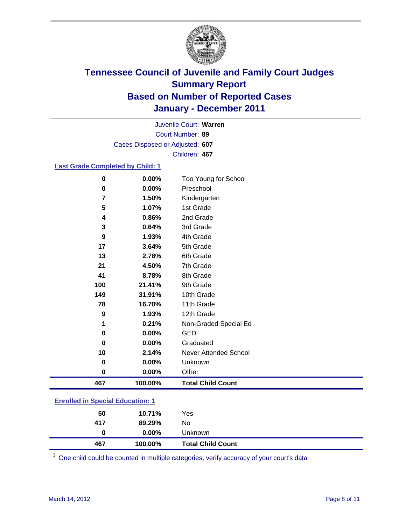

Court Number: **89** Juvenile Court: **Warren** Cases Disposed or Adjusted: **607** Children: **467**

#### **Last Grade Completed by Child: 1**

| $\bf{0}$                                | 0.00%    | Too Young for School         |  |
|-----------------------------------------|----------|------------------------------|--|
| $\bf{0}$                                | 0.00%    | Preschool                    |  |
| 7                                       | 1.50%    | Kindergarten                 |  |
| 5                                       | 1.07%    | 1st Grade                    |  |
| 4                                       | 0.86%    | 2nd Grade                    |  |
| 3                                       | 0.64%    | 3rd Grade                    |  |
| 9                                       | 1.93%    | 4th Grade                    |  |
| 17                                      | 3.64%    | 5th Grade                    |  |
| 13                                      | 2.78%    | 6th Grade                    |  |
| 21                                      | 4.50%    | 7th Grade                    |  |
| 41                                      | 8.78%    | 8th Grade                    |  |
| 100                                     | 21.41%   | 9th Grade                    |  |
| 149                                     | 31.91%   | 10th Grade                   |  |
| 78                                      | 16.70%   | 11th Grade                   |  |
| 9                                       | 1.93%    | 12th Grade                   |  |
| 1                                       | 0.21%    | Non-Graded Special Ed        |  |
| 0                                       | 0.00%    | <b>GED</b>                   |  |
| 0                                       | 0.00%    | Graduated                    |  |
| 10                                      | 2.14%    | <b>Never Attended School</b> |  |
| 0                                       | 0.00%    | Unknown                      |  |
| 0                                       | $0.00\%$ | Other                        |  |
| 467                                     | 100.00%  | <b>Total Child Count</b>     |  |
| <b>Enrolled in Special Education: 1</b> |          |                              |  |

| 467 | 100.00%  | <b>Total Child Count</b> |  |
|-----|----------|--------------------------|--|
| 0   | $0.00\%$ | Unknown                  |  |
| 417 | 89.29%   | No                       |  |
| 50  | 10.71%   | Yes                      |  |
|     |          |                          |  |

One child could be counted in multiple categories, verify accuracy of your court's data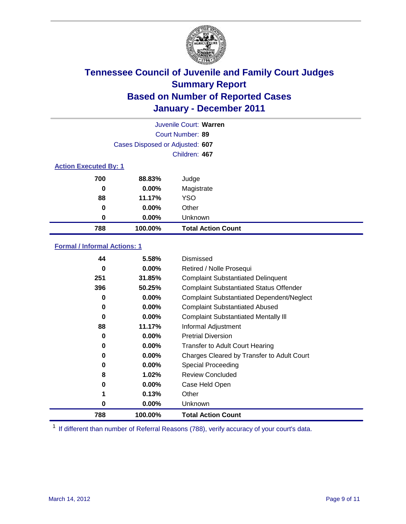

| Juvenile Court: Warren |                                 |                           |  |  |
|------------------------|---------------------------------|---------------------------|--|--|
|                        |                                 | Court Number: 89          |  |  |
|                        | Cases Disposed or Adjusted: 607 |                           |  |  |
|                        |                                 | Children: 467             |  |  |
|                        | <b>Action Executed By: 1</b>    |                           |  |  |
| 700                    | 88.83%                          | Judge                     |  |  |
| 0                      | $0.00\%$                        | Magistrate                |  |  |
| 88                     | 11.17%                          | <b>YSO</b>                |  |  |
| 0                      | $0.00\%$                        | Other                     |  |  |
| 0                      | 0.00%                           | Unknown                   |  |  |
| 788                    | 100.00%                         | <b>Total Action Count</b> |  |  |

#### **Formal / Informal Actions: 1**

| 44  | 5.58%    | Dismissed                                        |
|-----|----------|--------------------------------------------------|
| 0   | $0.00\%$ | Retired / Nolle Prosequi                         |
| 251 | 31.85%   | <b>Complaint Substantiated Delinquent</b>        |
| 396 | 50.25%   | <b>Complaint Substantiated Status Offender</b>   |
| 0   | 0.00%    | <b>Complaint Substantiated Dependent/Neglect</b> |
| 0   | $0.00\%$ | <b>Complaint Substantiated Abused</b>            |
| 0   | $0.00\%$ | <b>Complaint Substantiated Mentally III</b>      |
| 88  | 11.17%   | Informal Adjustment                              |
| 0   | $0.00\%$ | <b>Pretrial Diversion</b>                        |
| 0   | $0.00\%$ | <b>Transfer to Adult Court Hearing</b>           |
| 0   | $0.00\%$ | Charges Cleared by Transfer to Adult Court       |
| 0   | $0.00\%$ | Special Proceeding                               |
| 8   | 1.02%    | <b>Review Concluded</b>                          |
| 0   | $0.00\%$ | Case Held Open                                   |
| 1   | 0.13%    | Other                                            |
| 0   | $0.00\%$ | <b>Unknown</b>                                   |
| 788 | 100.00%  | <b>Total Action Count</b>                        |

<sup>1</sup> If different than number of Referral Reasons (788), verify accuracy of your court's data.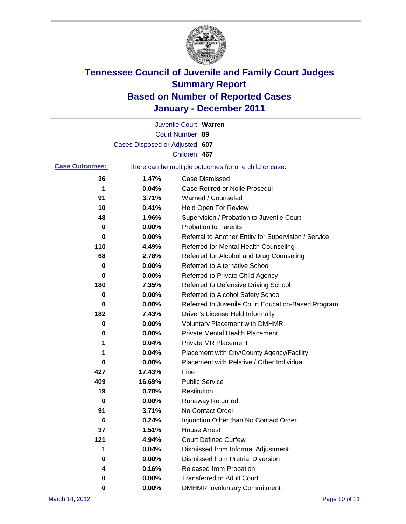

|                       |                                 | Juvenile Court: Warren                                |
|-----------------------|---------------------------------|-------------------------------------------------------|
|                       |                                 | Court Number: 89                                      |
|                       | Cases Disposed or Adjusted: 607 |                                                       |
|                       |                                 | Children: 467                                         |
| <b>Case Outcomes:</b> |                                 | There can be multiple outcomes for one child or case. |
| 36                    | 1.47%                           | <b>Case Dismissed</b>                                 |
| 1                     | 0.04%                           | Case Retired or Nolle Prosequi                        |
| 91                    | 3.71%                           | Warned / Counseled                                    |
| 10                    | 0.41%                           | <b>Held Open For Review</b>                           |
| 48                    | 1.96%                           | Supervision / Probation to Juvenile Court             |
| 0                     | 0.00%                           | <b>Probation to Parents</b>                           |
| 0                     | 0.00%                           | Referral to Another Entity for Supervision / Service  |
| 110                   | 4.49%                           | Referred for Mental Health Counseling                 |
| 68                    | 2.78%                           | Referred for Alcohol and Drug Counseling              |
| 0                     | 0.00%                           | <b>Referred to Alternative School</b>                 |
| 0                     | 0.00%                           | Referred to Private Child Agency                      |
| 180                   | 7.35%                           | Referred to Defensive Driving School                  |
| 0                     | 0.00%                           | Referred to Alcohol Safety School                     |
| 0                     | 0.00%                           | Referred to Juvenile Court Education-Based Program    |
| 182                   | 7.43%                           | Driver's License Held Informally                      |
| 0                     | 0.00%                           | <b>Voluntary Placement with DMHMR</b>                 |
| 0                     | 0.00%                           | <b>Private Mental Health Placement</b>                |
| 1                     | 0.04%                           | <b>Private MR Placement</b>                           |
| 1                     | 0.04%                           | Placement with City/County Agency/Facility            |
| 0                     | 0.00%                           | Placement with Relative / Other Individual            |
| 427                   | 17.43%                          | Fine                                                  |
| 409                   | 16.69%                          | <b>Public Service</b>                                 |
| 19                    | 0.78%                           | Restitution                                           |
| 0                     | 0.00%                           | <b>Runaway Returned</b>                               |
| 91                    | 3.71%                           | No Contact Order                                      |
| 6                     | 0.24%                           | Injunction Other than No Contact Order                |
| 37                    | 1.51%                           | <b>House Arrest</b>                                   |
| 121                   | 4.94%                           | <b>Court Defined Curfew</b>                           |
| 1                     | 0.04%                           | Dismissed from Informal Adjustment                    |
| 0                     | 0.00%                           | <b>Dismissed from Pretrial Diversion</b>              |
| 4                     | 0.16%                           | Released from Probation                               |
| 0                     | 0.00%                           | <b>Transferred to Adult Court</b>                     |
| 0                     | $0.00\%$                        | <b>DMHMR Involuntary Commitment</b>                   |